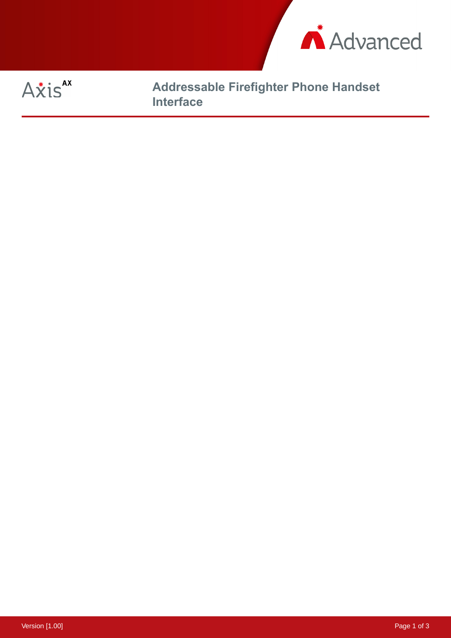



**Addressable Firefighter Phone Handset Interface**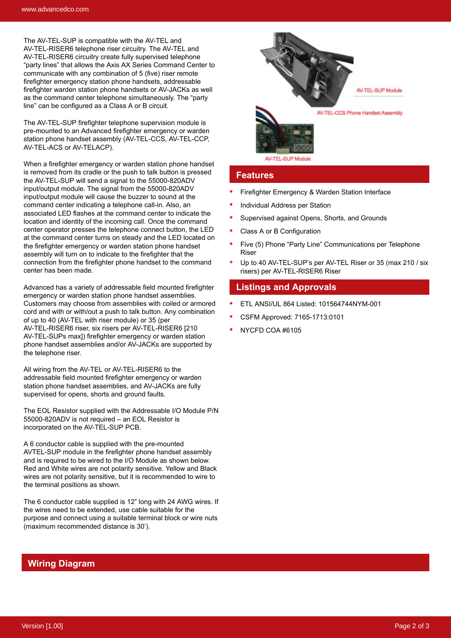The AV-TEL-SUP is compatible with the AV-TEL and AV-TEL-RISER6 telephone riser circuitry. The AV-TEL and AV-TEL-RISER6 circuitry create fully supervised telephone "party lines" that allows the Axis AX Series Command Center to communicate with any combination of 5 (five) riser remote firefighter emergency station phone handsets, addressable firefighter warden station phone handsets or AV-JACKs as well as the command center telephone simultaneously. The "party line" can be configured as a Class A or B circuit.

The AV-TEL-SUP firefighter telephone supervision module is pre-mounted to an Advanced firefighter emergency or warden station phone handset assembly (AV-TEL-CCS, AV-TEL-CCP, AV-TEL-ACS or AV-TELACP).

When a firefighter emergency or warden station phone handset is removed from its cradle or the push to talk button is pressed the AV-TEL-SUP will send a signal to the 55000-820ADV input/output module. The signal from the 55000-820ADV input/output module will cause the buzzer to sound at the command center indicating a telephone call-in. Also, an associated LED flashes at the command center to indicate the location and identity of the incoming call. Once the command center operator presses the telephone connect button, the LED at the command center turns on steady and the LED located on the firefighter emergency or warden station phone handset assembly will turn on to indicate to the firefighter that the connection from the firefighter phone handset to the command center has been made.

Advanced has a variety of addressable field mounted firefighter emergency or warden station phone handset assemblies. Customers may choose from assemblies with coiled or armored cord and with or with/out a push to talk button. Any combination of up to 40 (AV-TEL with riser module) or 35 (per AV-TEL-RISER6 riser, six risers per AV-TEL-RISER6 [210 AV-TEL-SUPs max]) firefighter emergency or warden station phone handset assemblies and/or AV-JACKs are supported by the telephone riser.

All wiring from the AV-TEL or AV-TEL-RISER6 to the addressable field mounted firefighter emergency or warden station phone handset assemblies, and AV-JACKs are fully supervised for opens, shorts and ground faults.

The EOL Resistor supplied with the Addressable I/O Module P/N 55000-820ADV is not required – an EOL Resistor is incorporated on the AV-TEL-SUP PCB.

A 6 conductor cable is supplied with the pre-mounted AVTEL-SUP module in the firefighter phone handset assembly and is required to be wired to the I/O Module as shown below. Red and White wires are not polarity sensitive. Yellow and Black wires are not polarity sensitive, but it is recommended to wire to the terminal positions as shown.

The 6 conductor cable supplied is 12" long with 24 AWG wires. If the wires need to be extended, use cable suitable for the purpose and connect using a suitable terminal block or wire nuts (maximum recommended distance is 30').



## **Features**

- Firefighter Emergency & Warden Station Interface
- Individual Address per Station
- Supervised against Opens, Shorts, and Grounds
- Class A or B Configuration
- Five (5) Phone "Party Line" Communications per Telephone Riser
- Up to 40 AV-TEL-SUP's per AV-TEL Riser or 35 (max 210 / six risers) per AV-TEL-RISER6 Riser

## **Listings and Approvals**

- ETL ANSI/UL 864 Listed: 101564744NYM-001
- CSFM Approved: 7165-1713:0101
- NYCFD COA #6105

## **Wiring Diagram**